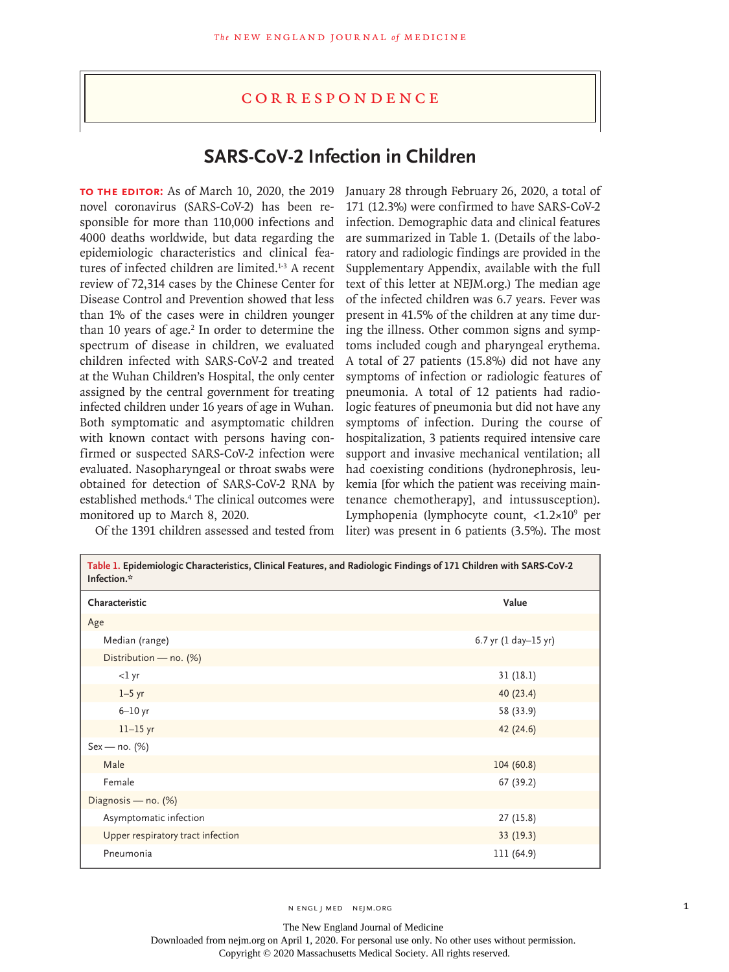## **CORRESPONDENCE**

## **SARS-CoV-2 Infection in Children**

**To the Editor:** As of March 10, 2020, the 2019 novel coronavirus (SARS-CoV-2) has been responsible for more than 110,000 infections and 4000 deaths worldwide, but data regarding the epidemiologic characteristics and clinical features of infected children are limited.<sup>1-3</sup> A recent review of 72,314 cases by the Chinese Center for Disease Control and Prevention showed that less than 1% of the cases were in children younger than 10 years of age.<sup>2</sup> In order to determine the spectrum of disease in children, we evaluated children infected with SARS-CoV-2 and treated at the Wuhan Children's Hospital, the only center assigned by the central government for treating infected children under 16 years of age in Wuhan. Both symptomatic and asymptomatic children with known contact with persons having confirmed or suspected SARS-CoV-2 infection were evaluated. Nasopharyngeal or throat swabs were obtained for detection of SARS-CoV-2 RNA by established methods.<sup>4</sup> The clinical outcomes were monitored up to March 8, 2020.

Of the 1391 children assessed and tested from liter) was present in 6 patients (3.5%). The most January 28 through February 26, 2020, a total of 171 (12.3%) were confirmed to have SARS-CoV-2 infection. Demographic data and clinical features are summarized in Table 1. (Details of the laboratory and radiologic findings are provided in the Supplementary Appendix, available with the full text of this letter at NEJM.org.) The median age of the infected children was 6.7 years. Fever was present in 41.5% of the children at any time during the illness. Other common signs and symptoms included cough and pharyngeal erythema. A total of 27 patients (15.8%) did not have any symptoms of infection or radiologic features of pneumonia. A total of 12 patients had radiologic features of pneumonia but did not have any symptoms of infection. During the course of hospitalization, 3 patients required intensive care support and invasive mechanical ventilation; all had coexisting conditions (hydronephrosis, leukemia [for which the patient was receiving maintenance chemotherapy], and intussusception). Lymphopenia (lymphocyte count, <1.2×109 per

| Table 1. Epidemiologic Characteristics, Clinical Features, and Radiologic Findings of 171 Children with SARS-CoV-2<br>Infection.* |                      |
|-----------------------------------------------------------------------------------------------------------------------------------|----------------------|
| Characteristic                                                                                                                    | Value                |
| Age                                                                                                                               |                      |
| Median (range)                                                                                                                    | 6.7 yr (1 day-15 yr) |
| Distribution - no. (%)                                                                                                            |                      |
| $<$ l yr                                                                                                                          | 31(18.1)             |
| $1-5$ yr                                                                                                                          | 40(23.4)             |
| $6-10$ yr                                                                                                                         | 58 (33.9)            |
| $11-15$ yr                                                                                                                        | 42 (24.6)            |
| $Sex - no. (%)$                                                                                                                   |                      |
| Male                                                                                                                              | 104(60.8)            |
| Female                                                                                                                            | 67 (39.2)            |
| Diagnosis - no. (%)                                                                                                               |                      |
| Asymptomatic infection                                                                                                            | 27(15.8)             |
| Upper respiratory tract infection                                                                                                 | 33(19.3)             |
| Pneumonia                                                                                                                         | 111 (64.9)           |

N ENGL J MED NEJM.ORG 1

The New England Journal of Medicine Downloaded from nejm.org on April 1, 2020. For personal use only. No other uses without permission. Copyright © 2020 Massachusetts Medical Society. All rights reserved.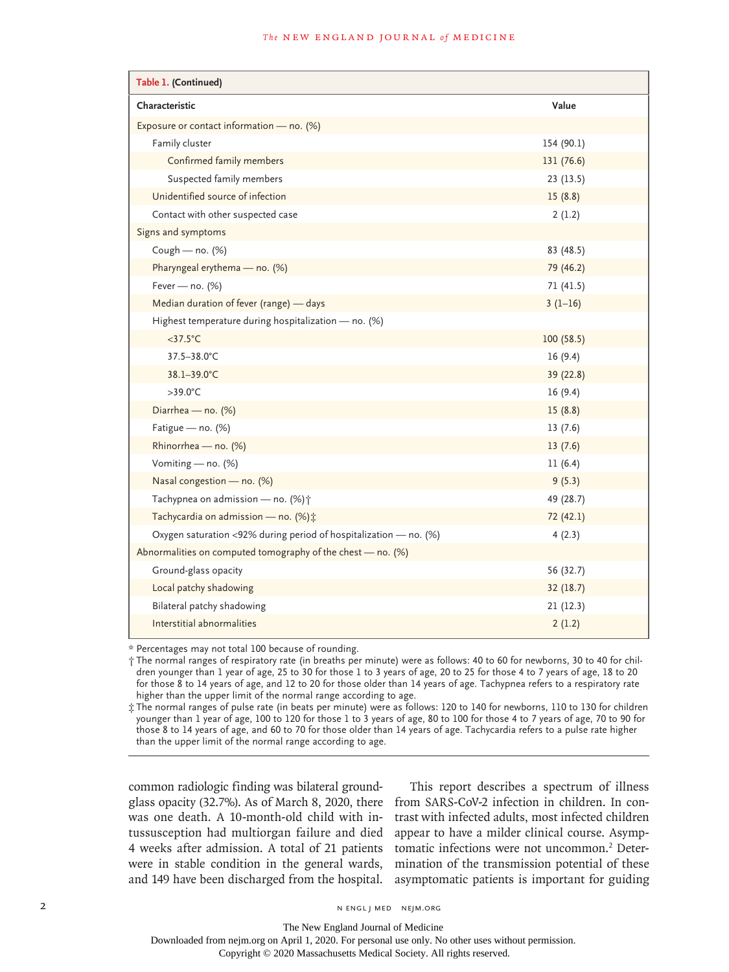## **The NEW ENGLAND JOURNAL of MEDICINE**

| Table 1. (Continued)                                              |            |  |
|-------------------------------------------------------------------|------------|--|
| Characteristic                                                    | Value      |  |
| Exposure or contact information - no. (%)                         |            |  |
| Family cluster                                                    | 154 (90.1) |  |
| Confirmed family members                                          | 131(76.6)  |  |
| Suspected family members                                          | 23(13.5)   |  |
| Unidentified source of infection                                  | 15(8.8)    |  |
| Contact with other suspected case                                 | 2(1.2)     |  |
| Signs and symptoms                                                |            |  |
| Cough - no. (%)                                                   | 83 (48.5)  |  |
| Pharyngeal erythema - no. (%)                                     | 79 (46.2)  |  |
| Fever - no. (%)                                                   | 71(41.5)   |  |
| Median duration of fever (range) - days                           | $3(1-16)$  |  |
| Highest temperature during hospitalization - no. (%)              |            |  |
| $<$ 37.5 $^{\circ}$ C                                             | 100(58.5)  |  |
| 37.5-38.0°C                                                       | 16(9.4)    |  |
| 38.1-39.0°C                                                       | 39 (22.8)  |  |
| $>39.0^{\circ}$ C                                                 | 16(9.4)    |  |
| Diarrhea - no. (%)                                                | 15(8.8)    |  |
| Fatigue - no. (%)                                                 | 13(7.6)    |  |
| Rhinorrhea - no. (%)                                              | 13(7.6)    |  |
| Vomiting - no. (%)                                                | 11(6.4)    |  |
| Nasal congestion - no. (%)                                        | 9(5.3)     |  |
| Tachypnea on admission - no. (%) +                                | 49 (28.7)  |  |
| Tachycardia on admission - no. (%):                               | 72 (42.1)  |  |
| Oxygen saturation <92% during period of hospitalization - no. (%) | 4(2.3)     |  |
| Abnormalities on computed tomography of the chest $-$ no. (%)     |            |  |
| Ground-glass opacity                                              | 56 (32.7)  |  |
| Local patchy shadowing                                            | 32(18.7)   |  |
| Bilateral patchy shadowing                                        | 21(12.3)   |  |
| Interstitial abnormalities                                        | 2(1.2)     |  |

\* Percentages may not total 100 because of rounding.

† The normal ranges of respiratory rate (in breaths per minute) were as follows: 40 to 60 for newborns, 30 to 40 for children younger than 1 year of age, 25 to 30 for those 1 to 3 years of age, 20 to 25 for those 4 to 7 years of age, 18 to 20 for those 8 to 14 years of age, and 12 to 20 for those older than 14 years of age. Tachypnea refers to a respiratory rate higher than the upper limit of the normal range according to age.

‡ The normal ranges of pulse rate (in beats per minute) were as follows: 120 to 140 for newborns, 110 to 130 for children younger than 1 year of age, 100 to 120 for those 1 to 3 years of age, 80 to 100 for those 4 to 7 years of age, 70 to 90 for those 8 to 14 years of age, and 60 to 70 for those older than 14 years of age. Tachycardia refers to a pulse rate higher than the upper limit of the normal range according to age.

common radiologic finding was bilateral groundglass opacity (32.7%). As of March 8, 2020, there was one death. A 10-month-old child with intussusception had multiorgan failure and died 4 weeks after admission. A total of 21 patients were in stable condition in the general wards, and 149 have been discharged from the hospital.

This report describes a spectrum of illness from SARS-CoV-2 infection in children. In contrast with infected adults, most infected children appear to have a milder clinical course. Asymptomatic infections were not uncommon.<sup>2</sup> Determination of the transmission potential of these asymptomatic patients is important for guiding

Copyright © 2020 Massachusetts Medical Society. All rights reserved.